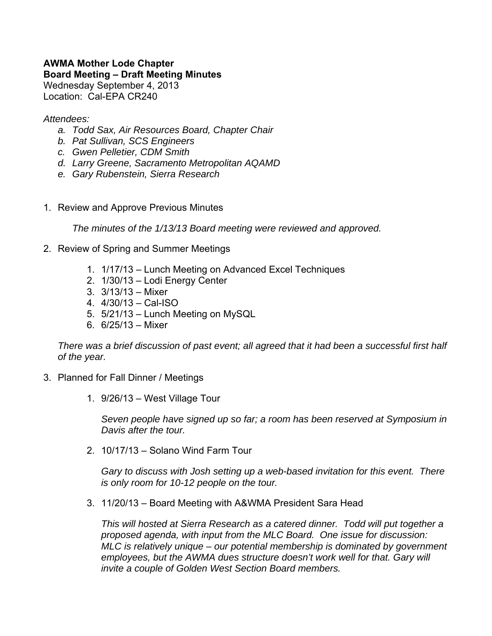## **AWMA Mother Lode Chapter Board Meeting – Draft Meeting Minutes**  Wednesday September 4, 2013 Location: Cal-EPA CR240

## *Attendees:*

- *a. Todd Sax, Air Resources Board, Chapter Chair*
- *b. Pat Sullivan, SCS Engineers*
- *c. Gwen Pelletier, CDM Smith*
- *d. Larry Greene, Sacramento Metropolitan AQAMD*
- *e. Gary Rubenstein, Sierra Research*
- 1. Review and Approve Previous Minutes

*The minutes of the 1/13/13 Board meeting were reviewed and approved.* 

- 2. Review of Spring and Summer Meetings
	- 1. 1/17/13 Lunch Meeting on Advanced Excel Techniques
	- 2. 1/30/13 Lodi Energy Center
	- 3. 3/13/13 Mixer
	- 4. 4/30/13 Cal-ISO
	- 5. 5/21/13 Lunch Meeting on MySQL
	- 6. 6/25/13 Mixer

*There was a brief discussion of past event; all agreed that it had been a successful first half of the year.* 

- 3. Planned for Fall Dinner / Meetings
	- 1. 9/26/13 West Village Tour

*Seven people have signed up so far; a room has been reserved at Symposium in Davis after the tour.*

2. 10/17/13 – Solano Wind Farm Tour

*Gary to discuss with Josh setting up a web-based invitation for this event. There is only room for 10-12 people on the tour.*

3. 11/20/13 – Board Meeting with A&WMA President Sara Head

*This will hosted at Sierra Research as a catered dinner. Todd will put together a proposed agenda, with input from the MLC Board. One issue for discussion: MLC is relatively unique – our potential membership is dominated by government employees, but the AWMA dues structure doesn't work well for that. Gary will invite a couple of Golden West Section Board members.*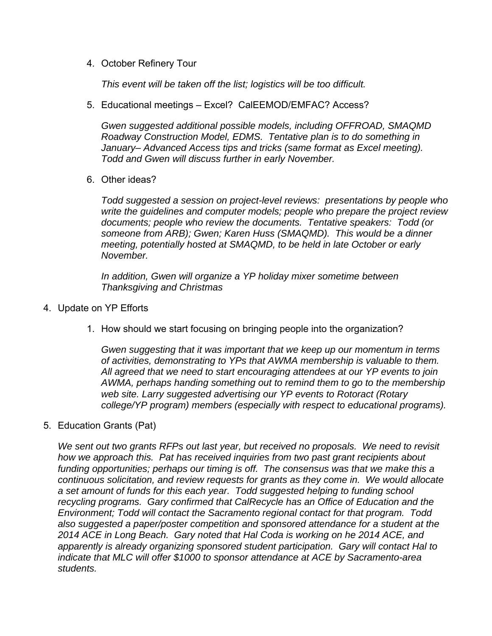4. October Refinery Tour

*This event will be taken off the list; logistics will be too difficult.*

5. Educational meetings – Excel? CalEEMOD/EMFAC? Access?

*Gwen suggested additional possible models, including OFFROAD, SMAQMD Roadway Construction Model, EDMS. Tentative plan is to do something in January– Advanced Access tips and tricks (same format as Excel meeting). Todd and Gwen will discuss further in early November.*

6. Other ideas?

*Todd suggested a session on project-level reviews: presentations by people who write the guidelines and computer models; people who prepare the project review documents; people who review the documents. Tentative speakers: Todd (or someone from ARB); Gwen; Karen Huss (SMAQMD). This would be a dinner meeting, potentially hosted at SMAQMD, to be held in late October or early November.* 

*In addition, Gwen will organize a YP holiday mixer sometime between Thanksgiving and Christmas* 

- 4. Update on YP Efforts
	- 1. How should we start focusing on bringing people into the organization?

*Gwen suggesting that it was important that we keep up our momentum in terms of activities, demonstrating to YPs that AWMA membership is valuable to them. All agreed that we need to start encouraging attendees at our YP events to join AWMA, perhaps handing something out to remind them to go to the membership web site. Larry suggested advertising our YP events to Rotoract (Rotary college/YP program) members (especially with respect to educational programs).* 

5. Education Grants (Pat)

*We sent out two grants RFPs out last year, but received no proposals. We need to revisit how we approach this. Pat has received inquiries from two past grant recipients about*  funding opportunities; perhaps our timing is off. The consensus was that we make this a *continuous solicitation, and review requests for grants as they come in. We would allocate a set amount of funds for this each year. Todd suggested helping to funding school recycling programs. Gary confirmed that CalRecycle has an Office of Education and the Environment; Todd will contact the Sacramento regional contact for that program. Todd also suggested a paper/poster competition and sponsored attendance for a student at the 2014 ACE in Long Beach. Gary noted that Hal Coda is working on he 2014 ACE, and apparently is already organizing sponsored student participation. Gary will contact Hal to indicate that MLC will offer \$1000 to sponsor attendance at ACE by Sacramento-area students.*